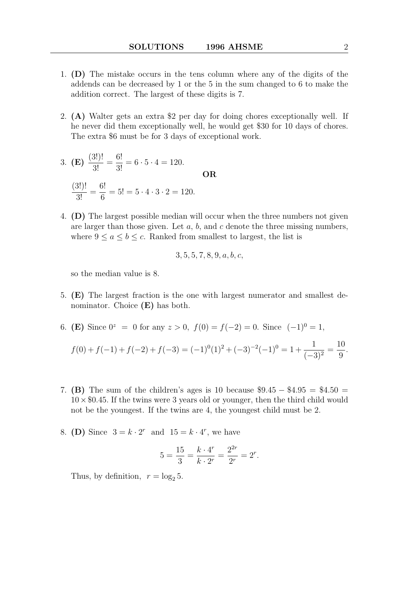- 1. (D) The mistake occurs in the tens column where any of the digits of the addends can be decreased by 1 or the 5 in the sum changed to 6 to make the addition correct. The largest of these digits is 7.
- 2. (A) Walter gets an extra \$2 per day for doing chores exceptionally well. If he never did them exceptionally well, he would get \$30 for 10 days of chores. The extra \$6 must be for 3 days of exceptional work.
- 3. (E)  $\frac{(3!)!}{2!}$  $\frac{3!}{3!}$  =  $\frac{6!}{3!} = 6 \cdot 5 \cdot 4 = 120.$ OR (3!)!  $\frac{3!}{3!}$  = 6! 6  $= 5! = 5 \cdot 4 \cdot 3 \cdot 2 = 120.$
- 4. (D) The largest possible median will occur when the three numbers not given are larger than those given. Let  $a, b$ , and  $c$  denote the three missing numbers, where  $9 \le a \le b \le c$ . Ranked from smallest to largest, the list is

$$
3, 5, 5, 7, 8, 9, a, b, c,
$$

so the median value is 8.

- 5. (E) The largest fraction is the one with largest numerator and smallest denominator. Choice  $(E)$  has both.
- 6. (E) Since  $0^z = 0$  for any  $z > 0$ ,  $f(0) = f(-2) = 0$ . Since  $(-1)^0 = 1$ ,

$$
f(0) + f(-1) + f(-2) + f(-3) = (-1)^0(1)^2 + (-3)^{-2}(-1)^0 = 1 + \frac{1}{(-3)^2} = \frac{10}{9}.
$$

- 7. (B) The sum of the children's ages is 10 because \$9.45 − \$4.95 = \$4.50 =  $10 \times $0.45$ . If the twins were 3 years old or younger, then the third child would not be the youngest. If the twins are 4, the youngest child must be 2.
- 8. (D) Since  $3 = k \cdot 2^r$  and  $15 = k \cdot 4^r$ , we have

$$
5 = \frac{15}{3} = \frac{k \cdot 4^r}{k \cdot 2^r} = \frac{2^{2r}}{2^r} = 2^r.
$$

Thus, by definition,  $r = \log_2 5$ .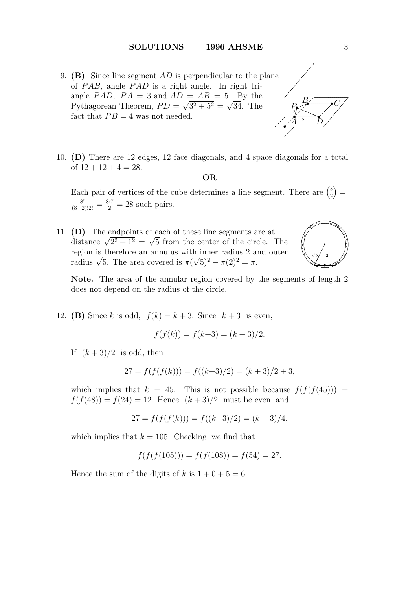- 9. (B) Since line segment  $AD$  is perpendicular to the plane of  $PAB$ , angle  $PAD$  is a right angle. In right triangle PAD,  $PA = 3$  and  $AD = AB = 5$ . By the Pythagorean Theorem,  $PD = \sqrt{3^2 + 5^2} = \sqrt{34}$ . The fact that  $PB = 4$  was not needed.
- .  $\overbrace{\phantom{...}}$ . ........................................................................................ .  $\frac{1}{\sqrt{2}}$ ........ ........ .<br>.. .  $\overline{\phantom{a}}$ . ........................................................................................................................... . •  $\sqrt{A}$  $\cancel{B}$ •  $\tilde{D}$  $P_{\bullet} \rightarrow C$ 3 5
- 10. (D) There are 12 edges, 12 face diagonals, and 4 space diagonals for a total of  $12 + 12 + 4 = 28$ .

# OR

Each pair of vertices of the cube determines a line segment. There are  $\binom{8}{2}$ 2  $) =$  $\frac{8!}{(8-2)!2!} = \frac{8\cdot 7}{2} = 28$  such pairs.

11. (D) The endpoints of each of these line segments are at (D) The endpoints of each of these line segments are at distance  $\sqrt{2^2 + 1^2} = \sqrt{5}$  from the center of the circle. The region is therefore an annulus with inner radius 2 and outer region is therefore an annulus with linear radius  $\chi$  a<br>radius  $\sqrt{5}$ . The area covered is  $\pi(\sqrt{5})^2 - \pi(2)^2 = \pi$ .



Note. The area of the annular region covered by the segments of length 2 does not depend on the radius of the circle.

12. (B) Since k is odd,  $f(k) = k + 3$ . Since  $k + 3$  is even,

$$
f(f(k)) = f(k+3) = (k+3)/2.
$$

If  $(k+3)/2$  is odd, then

$$
27 = f(f(f(k))) = f((k+3)/2) = (k+3)/2 + 3,
$$

which implies that  $k = 45$ . This is not possible because  $f(f(f(45)))$  =  $f(f(48)) = f(24) = 12$ . Hence  $(k+3)/2$  must be even, and

$$
27 = f(f(f(k))) = f((k+3)/2) = (k+3)/4,
$$

which implies that  $k = 105$ . Checking, we find that

$$
f(f(f(105))) = f(f(108)) = f(54) = 27.
$$

Hence the sum of the digits of k is  $1 + 0 + 5 = 6$ .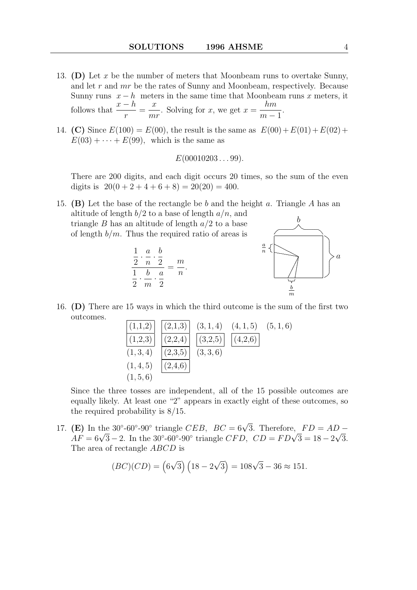- 13. (D) Let x be the number of meters that Moonbeam runs to overtake Sunny, and let r and mr be the rates of Sunny and Moonbeam, respectively. Because Sunny runs  $x - h$  meters in the same time that Moonbeam runs x meters, it follows that  $\frac{x-h}{x}$ r =  $\boldsymbol{x}$ mr . Solving for  $x$ , we get  $x =$ hm  $m-1$ .
- 14. (C) Since  $E(100) = E(00)$ , the result is the same as  $E(00) + E(01) + E(02) +$  $E(03) + \cdots + E(99)$ , which is the same as

$$
E(00010203\ldots 99).
$$

There are 200 digits, and each digit occurs 20 times, so the sum of the even digits is  $20(0 + 2 + 4 + 6 + 8) = 20(20) = 400$ .

15. (B) Let the base of the rectangle be b and the height a. Triangle A has an altitude of length  $b/2$  to a base of length  $a/n$ , and triangle B has an altitude of length  $a/2$  to a base of length  $b/m$ . Thus the required ratio of areas is . ... .. .....................................................  $\overline{\phantom{0}}$  $\diagup\diagdown$ ...... ........ ............................................... ... b





16. (D) There are 15 ways in which the third outcome is the sum of the first two outcomes.

(1,1,2) (2,1,3) (3, 1, 4) (4, 1, 5) (5, 1, 6) (1,2,3) (2,2,4) (3,2,5) (4,2,6) (1, 3, 4) (2,3,5) (3, 3, 6) (1, 4, 5) (2,4,6) (1, 5, 6)

Since the three tosses are independent, all of the 15 possible outcomes are equally likely. At least one "2" appears in exactly eight of these outcomes, so the required probability is 8/15.

17. (E) In the 30°-60°-90° triangle *CEB*,  $BC = 6\sqrt{3}$ . Therefore,  $FD = AD -$ (**E**) In the 30°-60°-90° triangle C*EB*, *BC* = 6 $\sqrt{3}$ . Therefore, *FD* = *AD* – *AF* = 6 $\sqrt{3}$  – 2. In the 30°-60°-90° triangle *CFD*, *CD* = *FD* $\sqrt{3}$  = 18 – 2 $\sqrt{3}$ . The area of rectangle ABCD is

$$
(BC)(CD) = (6\sqrt{3})(18 - 2\sqrt{3}) = 108\sqrt{3} - 36 \approx 151.
$$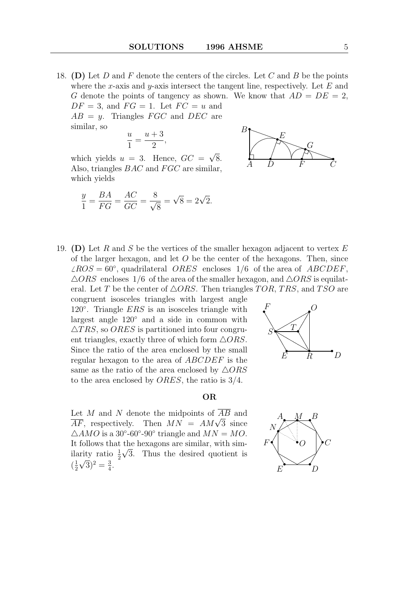18. (D) Let  $D$  and  $F$  denote the centers of the circles. Let  $C$  and  $B$  be the points where the x-axis and y-axis intersect the tangent line, respectively. Let  $E$  and G denote the points of tangency as shown. We know that  $AD = DE = 2$ ,  $DF = 3$ , and  $FG = 1$ . Let  $FC = u$  and  $AB = y$ . Triangles *FGC* and *DEC* are

$$
\frac{u}{1} = \frac{u+3}{2},
$$

similar, so

which yields  $u = 3$ . Hence,  $GC =$ √ 8. Also, triangles  $BAC$  and  $FGC$  are similar, which yields

$$
\frac{y}{1} = \frac{BA}{FG} = \frac{AC}{GC} = \frac{8}{\sqrt{8}} = \sqrt{8} = 2\sqrt{2}.
$$



19. (D) Let R and S be the vertices of the smaller hexagon adjacent to vertex  $E$ of the larger hexagon, and let  $O$  be the center of the hexagons. Then, since  $\angle ROS = 60^\circ$ , quadrilateral *ORES* encloses 1/6 of the area of *ABCDEF*,  $\triangle ORS$  encloses 1/6 of the area of the smaller hexagon, and  $\triangle ORS$  is equilateral. Let T be the center of  $\triangle ORS$ . Then triangles TOR, TRS, and TSO are

congruent isosceles triangles with largest angle 120<sup>°</sup>. Triangle *ERS* is an isosceles triangle with largest angle 120◦ and a side in common with  $\triangle TRS$ , so *ORES* is partitioned into four congruent triangles, exactly three of which form  $\triangle ORS$ . Since the ratio of the area enclosed by the small regular hexagon to the area of ABCDEF is the same as the ratio of the area enclosed by  $\triangle ORS$ to the area enclosed by ORES, the ratio is 3/4.



#### OR

Let M and N denote the midpoints of  $\overline{AB}$  and Let *M* and *N* denote the midpoints of *AB* and<br> $\overline{AF}$ , respectively. Then  $MN = AM\sqrt{3}$  since  $\triangle AMO$  is a 30°-60°-90° triangle and  $MN = MO$ . It follows that the hexagons are similar, with similarity ratio  $\frac{1}{2}\sqrt{3}$ . Thus the desired quotient is  $\left(\frac{1}{2}\right)$  $\frac{1}{2}\sqrt{3})^2 = \frac{3}{4}$  $\frac{3}{4}$ .

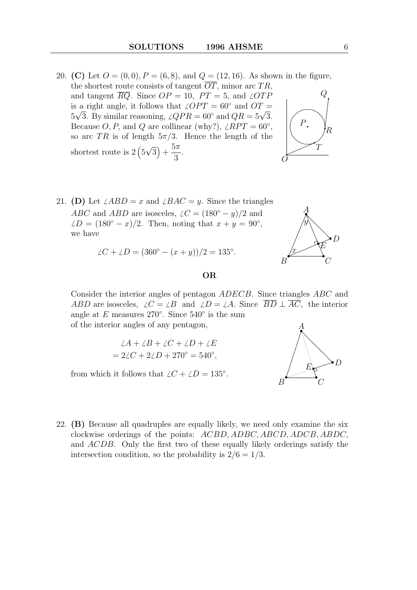- 20. (C) Let  $O = (0, 0), P = (6, 8),$  and  $Q = (12, 16)$ . As shown in the figure, the shortest route consists of tangent  $\overline{OT}$ , minor arc TR, and tangent  $\overline{RQ}$ . Since  $OP = 10$ ,  $PT = 5$ , and  $\angle OTP$ is a right angle, it follows that  $\angle OPT = 60^\circ$  and  $OT = \sqrt{5}$ is a right angle, it follows that  $\angle OPT = 60^{\circ}$  and  $OI = 5\sqrt{3}$ . By similar reasoning,  $\angle QPR = 60^{\circ}$  and  $QR = 5\sqrt{3}$ . Because O, P, and Q are collinear (why?),  $\angle RPT = 60^{\circ}$ , so arc TR is of length  $5\pi/3$ . Hence the length of the shortest route is  $2(5)$ √  $\overline{3}) +$  $5\pi$ 3 . . ....... ..... ... ... O
- 21. (D) Let  $\angle ABD = x$  and  $\angle BAC = y$ . Since the triangles ABC and ABD are isosceles,  $\angle C = (180° - y)/2$  and  $\angle D = (180^\circ - x)/2$ . Then, noting that  $x + y = 90^\circ$ , we have

$$
\angle C + \angle D = (360^{\circ} - (x + y))/2 = 135^{\circ}.
$$

### OR

Consider the interior angles of pentagon ADECB. Since triangles ABC and ABD are isosceles,  $\angle C = \angle B$  and  $\angle D = \angle A$ . Since  $\overline{BD} \perp \overline{AC}$ , the interior angle at  $E$  measures 270 $^{\circ}$ . Since 540 $^{\circ}$  is the sum of the interior angles of any pentagon,

$$
\angle A + \angle B + \angle C + \angle D + \angle E
$$
  
= 2\angle C + 2\angle D + 270^\circ = 540^\circ,

from which it follows that  $\angle C + \angle D = 135^\circ$ .



22. (B) Because all quadruples are equally likely, we need only examine the six clockwise orderings of the points: ACBD, ADBC, ABCD, ADCB, ABDC, and ACDB. Only the first two of these equally likely orderings satisfy the intersection condition, so the probability is  $2/6 = 1/3$ .



• A

.

y

•  $\mathcal{C}$ 

.  $\lambda$ 

 $\overleftrightarrow{E}^D$ 

....... ....... ....... ....... ....... ....... ....... .. ....... ....... ....... ....... ....... ....... ....... ....... ....... ....... ....... ....... ....... ....... .

• B

.

 $\frac{1}{2}$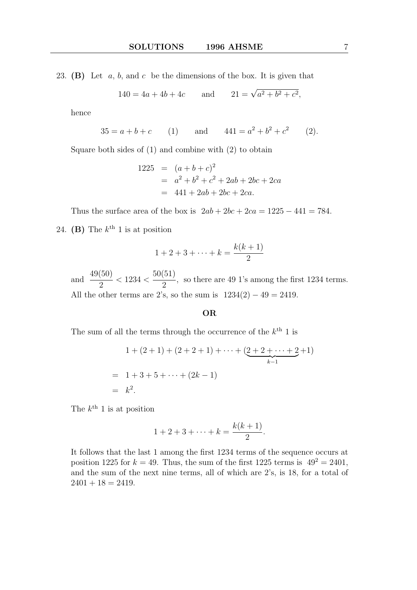23. (B) Let  $a, b$ , and  $c$  be the dimensions of the box. It is given that

$$
140 = 4a + 4b + 4c
$$
 and  $21 = \sqrt{a^2 + b^2 + c^2}$ ,

hence

$$
35 = a + b + c \qquad (1) \qquad \text{and} \qquad 441 = a^2 + b^2 + c^2 \qquad (2).
$$

Square both sides of (1) and combine with (2) to obtain

$$
1225 = (a+b+c)^2
$$
  
=  $a^2 + b^2 + c^2 + 2ab + 2bc + 2ca$   
= 441 + 2ab + 2bc + 2ca.

Thus the surface area of the box is  $2ab + 2bc + 2ca = 1225 - 441 = 784$ . 24. (B) The  $k^{\text{th}}$  1 is at position

$$
1 + 2 + 3 + \dots + k = \frac{k(k+1)}{2}
$$

and  $\frac{49(50)}{8}$ 2  $< 1234 <$ 50(51) 2 , so there are 49 1's among the first 1234 terms. All the other terms are 2's, so the sum is  $1234(2) - 49 = 2419$ .

# OR

The sum of all the terms through the occurrence of the  $k^{\text{th}}$  1 is

$$
1 + (2 + 1) + (2 + 2 + 1) + \dots + \underbrace{(2 + 2 + \dots + 2}_{k-1} + 1)
$$
\n
$$
= 1 + 3 + 5 + \dots + (2k - 1)
$$
\n
$$
= k2.
$$

The  $k^{\text{th}}$  1 is at position

$$
1 + 2 + 3 + \dots + k = \frac{k(k+1)}{2}.
$$

It follows that the last 1 among the first 1234 terms of the sequence occurs at position 1225 for  $k = 49$ . Thus, the sum of the first 1225 terms is  $49^2 = 2401$ , and the sum of the next nine terms, all of which are 2's, is 18, for a total of  $2401 + 18 = 2419.$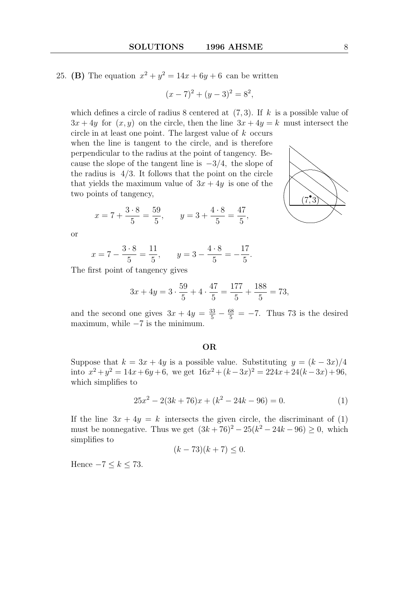25. (B) The equation  $x^2 + y^2 = 14x + 6y + 6$  can be written

$$
(x-7)2 + (y-3)2 = 82,
$$

which defines a circle of radius 8 centered at  $(7, 3)$ . If k is a possible value of  $3x + 4y$  for  $(x, y)$  on the circle, then the line  $3x + 4y = k$  must intersect the

circle in at least one point. The largest value of  $k$  occurs when the line is tangent to the circle, and is therefore perpendicular to the radius at the point of tangency. Because the slope of the tangent line is  $-3/4$ , the slope of the radius is  $4/3$ . It follows that the point on the circle that yields the maximum value of  $3x + 4y$  is one of the two points of tangency,

$$
x = 7 + \frac{3 \cdot 8}{5} = \frac{59}{5}
$$
,  $y = 3 + \frac{4 \cdot 8}{5} = \frac{47}{5}$ ,

or

$$
x = 7 - \frac{3 \cdot 8}{5} = \frac{11}{5}
$$
,  $y = 3 - \frac{4 \cdot 8}{5} = -\frac{17}{5}$ .

The first point of tangency gives

$$
3x + 4y = 3 \cdot \frac{59}{5} + 4 \cdot \frac{47}{5} = \frac{177}{5} + \frac{188}{5} = 73,
$$

and the second one gives  $3x + 4y = \frac{33}{5} - \frac{68}{5} = -7$ . Thus 73 is the desired maximum, while  $-7$  is the minimum.

#### OR

Suppose that  $k = 3x + 4y$  is a possible value. Substituting  $y = (k - 3x)/4$ into  $x^2 + y^2 = 14x + 6y + 6$ , we get  $16x^2 + (k - 3x)^2 = 224x + 24(k - 3x) + 96$ , which simplifies to

$$
25x2 - 2(3k + 76)x + (k2 - 24k - 96) = 0.
$$
 (1)

If the line  $3x + 4y = k$  intersects the given circle, the discriminant of (1) must be nonnegative. Thus we get  $(3k + 76)^2 - 25(k^2 - 24k - 96) \ge 0$ , which simplifies to

$$
(k-73)(k+7) \le 0.
$$

Hence  $-7 \leq k \leq 73$ .

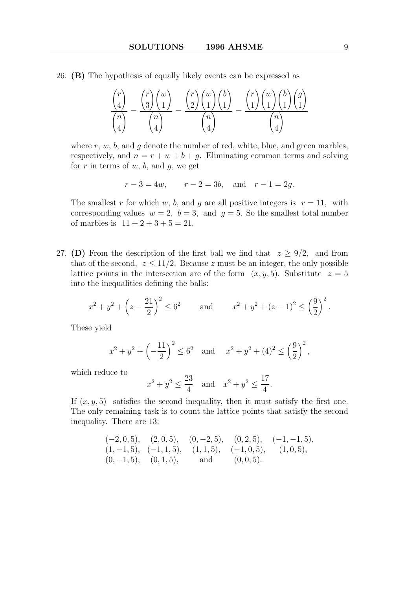26. (B) The hypothesis of equally likely events can be expressed as

$$
\frac{\binom{r}{4}}{\binom{n}{4}} = \frac{\binom{r}{3}\binom{w}{1}}{\binom{n}{4}} = \frac{\binom{r}{2}\binom{w}{1}\binom{b}{1}}{\binom{n}{4}} = \frac{\binom{r}{1}\binom{w}{1}\binom{b}{1}\binom{g}{1}}{\binom{n}{4}}
$$

where  $r, w, b$ , and  $g$  denote the number of red, white, blue, and green marbles, respectively, and  $n = r + w + b + g$ . Eliminating common terms and solving for r in terms of w, b, and q, we get

$$
r-3 = 4w
$$
,  $r-2 = 3b$ , and  $r-1 = 2g$ .

The smallest r for which w, b, and q are all positive integers is  $r = 11$ , with corresponding values  $w = 2$ ,  $b = 3$ , and  $g = 5$ . So the smallest total number of marbles is  $11 + 2 + 3 + 5 = 21$ .

27. (D) From the description of the first ball we find that  $z > 9/2$ , and from that of the second,  $z \leq 11/2$ . Because z must be an integer, the only possible lattice points in the intersection are of the form  $(x, y, 5)$ . Substitute  $z = 5$ into the inequalities defining the balls:

$$
x^{2} + y^{2} + \left(z - \frac{21}{2}\right)^{2} \le 6^{2}
$$
 and  $x^{2} + y^{2} + (z - 1)^{2} \le \left(\frac{9}{2}\right)^{2}$ .

These yield

$$
x^{2} + y^{2} + \left(-\frac{11}{2}\right)^{2} \le 6^{2}
$$
 and  $x^{2} + y^{2} + (4)^{2} \le \left(\frac{9}{2}\right)^{2}$ ,

which reduce to

$$
x^2 + y^2 \le \frac{23}{4}
$$
 and  $x^2 + y^2 \le \frac{17}{4}$ .

If  $(x, y, 5)$  satisfies the second inequality, then it must satisfy the first one. The only remaining task is to count the lattice points that satisfy the second inequality. There are 13:

$$
(-2, 0, 5)
$$
,  $(2, 0, 5)$ ,  $(0, -2, 5)$ ,  $(0, 2, 5)$ ,  $(-1, -1, 5)$ ,  $(1, -1, 5)$ ,  $(-1, 1, 5)$ ,  $(1, 1, 5)$ ,  $(-1, 0, 5)$ ,  $(1, 0, 5)$ ,  $(0, -1, 5)$ ,  $(0, 1, 5)$ , and  $(0, 0, 5)$ .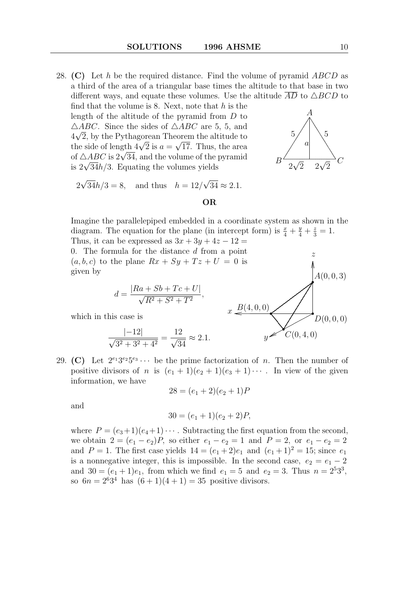28. (C) Let h be the required distance. Find the volume of pyramid  $ABCD$  as a third of the area of a triangular base times the altitude to that base in two different ways, and equate these volumes. Use the altitude  $\overline{AD}$  to  $\triangle BCD$  to

find that the volume is 8. Next, note that  $h$  is the length of the altitude of the pyramid from D to  $\triangle ABC$ . Since the sides of  $\triangle ABC$  are 5, 5, and  $4\sqrt{2}$ , by the Pythagorean Theorem the altitude to  $4\nabla z$ , by the Pythagorean 1 neorem the altitude to<br>the side of length  $4\sqrt{2}$  is  $a = \sqrt{17}$ . Thus, the area the side of length  $4\sqrt{2}$  is  $a = \sqrt{17}$ . Thus, the area of  $\triangle ABC$  is  $2\sqrt{34}$ , and the volume of the pyramid or  $\triangle ABC$  is  $2\sqrt{34}$ , and the volume of the is  $2\sqrt{34}h/3$ . Equating the volumes yields



. .

•

.. .. .. .. .. .. .. .. .. .. .. .. .. .. .. .. .. .. .. .. .. .. .. .. ..

•

 $A(0, 0, 3)$ 

 $D(0, 0, 0)$ 

 $\sum\nolimits_{C(0,4,0)}$ 

...... ...... ...... ...... ...............  $\!\!\mathscr{L}$  $\hat{y}$ 

•

.

•

.

............ .................................................................................  $x \stackrel{B(4,0,0)}{=}$ 

$$
2\sqrt{34}h/3 = 8
$$
, and thus  $h = 12/\sqrt{34} \approx 2.1$ .

## OR

Imagine the parallelepiped embedded in a coordinate system as shown in the diagram. The equation for the plane (in intercept form) is  $\frac{x}{4} + \frac{y}{4} + \frac{z}{3} = 1$ . Thus, it can be expressed as  $3x + 3y + 4z - 12 =$ 0. The formula for the distance d from a point z

 $(a, b, c)$  to the plane  $Rx + Sy + Tz + U = 0$  is given by

$$
d = \frac{|Ra + Sb + Tc + U|}{\sqrt{R^2 + S^2 + T^2}}
$$

which in this case is

$$
\frac{|{-}12|}{\sqrt{3^2 + 3^2 + 4^2}} = \frac{12}{\sqrt{34}} \approx 2.1.
$$

29. (C) Let  $2^{e_1}3^{e_2}5^{e_3}\cdots$  be the prime factorization of n. Then the number of positive divisors of n is  $(e_1 + 1)(e_2 + 1)(e_3 + 1) \cdots$ . In view of the given information, we have

,

$$
28 = (e_1 + 2)(e_2 + 1)P
$$

and

$$
30 = (e_1 + 1)(e_2 + 2)P,
$$

where  $P = (e_3+1)(e_4+1)\cdots$ . Subtracting the first equation from the second, we obtain  $2 = (e_1 - e_2)P$ , so either  $e_1 - e_2 = 1$  and  $P = 2$ , or  $e_1 - e_2 = 2$ and  $P = 1$ . The first case yields  $14 = (e_1 + 2)e_1$  and  $(e_1 + 1)^2 = 15$ ; since  $e_1$ is a nonnegative integer, this is impossible. In the second case,  $e_2 = e_1 - 2$ and  $30 = (e_1 + 1)e_1$ , from which we find  $e_1 = 5$  and  $e_2 = 3$ . Thus  $n = 2^5 3^3$ , so  $6n = 2^6 3^4$  has  $(6+1)(4+1) = 35$  positive divisors.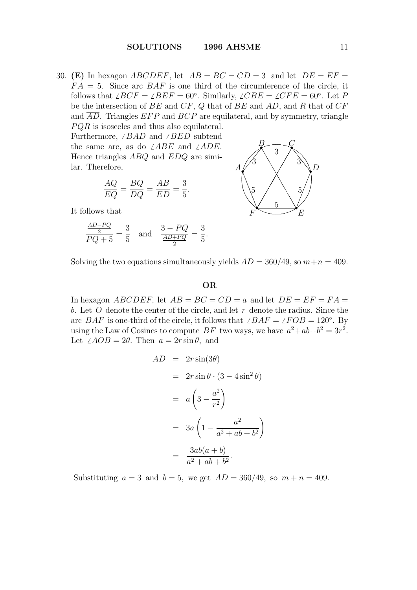30. (E) In hexagon *ABCDEF*, let  $AB = BC = CD = 3$  and let  $DE = EF =$  $FA = 5$ . Since arc  $BAF$  is one third of the circumference of the circle, it follows that  $\angle BCF = \angle BEF = 60°$ . Similarly,  $\angle CBE = \angle CFE = 60°$ . Let P be the intersection of  $\overline{BE}$  and  $\overline{CF}$ , Q that of  $\overline{BE}$  and  $\overline{AD}$ , and R that of  $\overline{CF}$ and  $\overline{AD}$ . Triangles  $EFP$  and  $BCP$  are equilateral, and by symmetry, triangle  $PQR$  is isosceles and thus also equilateral.

Furthermore,  $\angle BAD$  and  $\angle BED$  subtend the same arc, as do  $\angle ABE$  and  $\angle ADE$ . Hence triangles ABQ and EDQ are similar. Therefore,

$$
\frac{AQ}{EQ} = \frac{BQ}{DQ} = \frac{AB}{ED} = \frac{3}{5}.
$$

It follows that

$$
\frac{\frac{AD-PQ}{2}}{PQ+5} = \frac{3}{5} \quad \text{and} \quad \frac{3-PQ}{\frac{AD+PQ}{2}} = \frac{3}{5}.
$$



Solving the two equations simultaneously yields  $AD = 360/49$ , so  $m+n = 409$ .

## OR

In hexagon *ABCDEF*, let  $AB = BC = CD = a$  and let  $DE = EF = FA =$ b. Let  $O$  denote the center of the circle, and let  $r$  denote the radius. Since the arc BAF is one-third of the circle, it follows that  $\angle BAF = \angle FOB = 120^\circ$ . By using the Law of Cosines to compute BF two ways, we have  $a^2+ab+b^2=3r^2$ . Let  $\angle AOB = 2\theta$ . Then  $a = 2r \sin \theta$ , and

$$
AD = 2r \sin(3\theta)
$$
  
=  $2r \sin \theta \cdot (3 - 4 \sin^2 \theta)$   
=  $a \left(3 - \frac{a^2}{r^2}\right)$   
=  $3a \left(1 - \frac{a^2}{a^2 + ab + b^2}\right)$   
=  $\frac{3ab(a+b)}{a^2 + ab + b^2}$ .

Substituting  $a = 3$  and  $b = 5$ , we get  $AD = 360/49$ , so  $m + n = 409$ .